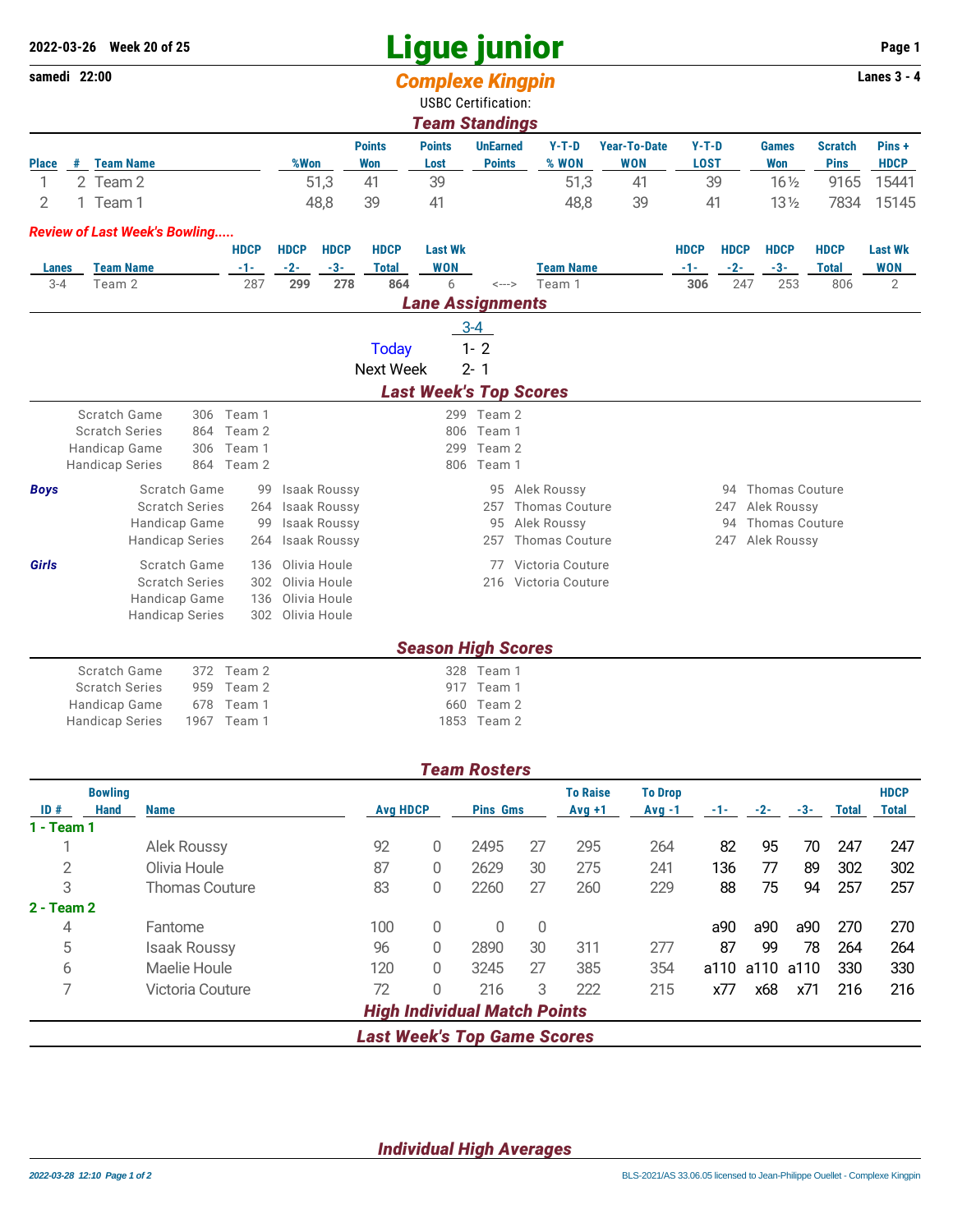## **Ligue junior 2022-03-26 Week 20 of 25 Page 1**

|                         | samedi 22:00 |                                         |                                        |                      |                  |                                            |                     | <b>Complexe Kingpin</b>    |                      |                                      |                     |              |              |                                      |                     | Lanes $3 - 4$  |
|-------------------------|--------------|-----------------------------------------|----------------------------------------|----------------------|------------------|--------------------------------------------|---------------------|----------------------------|----------------------|--------------------------------------|---------------------|--------------|--------------|--------------------------------------|---------------------|----------------|
|                         |              |                                         |                                        |                      |                  |                                            |                     | <b>USBC Certification:</b> |                      |                                      |                     |              |              |                                      |                     |                |
|                         |              |                                         |                                        |                      |                  |                                            |                     | <b>Team Standings</b>      |                      |                                      |                     |              |              |                                      |                     |                |
|                         |              |                                         |                                        |                      |                  |                                            | <b>Points</b>       | <b>Points</b>              | <b>UnEarned</b>      | $Y-T-D$                              | <b>Year-To-Date</b> | $Y-T-D$      |              | <b>Games</b>                         | <b>Scratch</b>      | Pins+          |
| <b>Place</b>            |              | # Team Name                             |                                        |                      | %Won             |                                            | <b>Won</b>          | Lost                       | <b>Points</b>        | % WON                                | <b>WON</b>          | <b>LOST</b>  |              | <b>Won</b>                           | <b>Pins</b>         | <b>HDCP</b>    |
| 1                       |              | 2 Team 2                                |                                        |                      |                  | 51,3                                       | 41                  | 39                         |                      | 51,3                                 | 41                  |              | 39           | $16\frac{1}{2}$                      | 9165                | 15441          |
| 2                       |              | 1 Team 1                                |                                        |                      |                  | 48,8                                       | 39                  | 41                         |                      | 48,8                                 | 39                  |              | 41           | $13\frac{1}{2}$                      | 7834                | 15145          |
|                         |              | <b>Review of Last Week's Bowling</b>    |                                        |                      |                  |                                            |                     |                            |                      |                                      |                     |              |              |                                      |                     |                |
|                         |              |                                         |                                        | <b>HDCP</b>          | <b>HDCP</b>      | <b>HDCP</b>                                | <b>HDCP</b>         | <b>Last Wk</b>             |                      |                                      |                     | <b>HDCP</b>  | <b>HDCP</b>  | <b>HDCP</b>                          | <b>HDCP</b>         | <b>Last Wk</b> |
| <b>Lanes</b><br>$3 - 4$ |              | <b>Team Name</b><br>Team 2              |                                        | -1-<br>287           | $-2-$<br>299     | $-3-$<br>278                               | <b>Total</b><br>864 | <b>WON</b><br>6            | $\leftarrow$ --->    | <b>Team Name</b><br>Team 1           |                     | $-1-$<br>306 | $-2-$<br>247 | $-3-$<br>253                         | <b>Total</b><br>806 | <b>WON</b>     |
|                         |              |                                         |                                        |                      |                  |                                            |                     |                            |                      |                                      |                     |              |              |                                      |                     | $\overline{2}$ |
|                         |              |                                         |                                        |                      |                  |                                            |                     | <b>Lane Assignments</b>    |                      |                                      |                     |              |              |                                      |                     |                |
|                         |              |                                         |                                        |                      |                  |                                            |                     |                            | $3-4$                |                                      |                     |              |              |                                      |                     |                |
|                         |              |                                         |                                        |                      |                  |                                            | <b>Today</b>        |                            | $1 - 2$              |                                      |                     |              |              |                                      |                     |                |
|                         |              |                                         |                                        |                      |                  |                                            | <b>Next Week</b>    |                            | $2 - 1$              |                                      |                     |              |              |                                      |                     |                |
|                         |              |                                         |                                        |                      |                  |                                            |                     |                            |                      | <b>Last Week's Top Scores</b>        |                     |              |              |                                      |                     |                |
|                         |              | Scratch Game                            |                                        | 306 Team 1           |                  |                                            |                     |                            | 299 Team 2           |                                      |                     |              |              |                                      |                     |                |
|                         |              | <b>Scratch Series</b>                   | 864                                    | Team 2               |                  |                                            |                     |                            | 806 Team 1           |                                      |                     |              |              |                                      |                     |                |
|                         |              | Handicap Game<br><b>Handicap Series</b> | 306                                    | Team 1<br>864 Team 2 |                  |                                            |                     | 299                        | Team 2<br>806 Team 1 |                                      |                     |              |              |                                      |                     |                |
|                         |              |                                         |                                        |                      |                  |                                            |                     |                            |                      |                                      |                     |              |              |                                      |                     |                |
| <b>Boys</b>             |              |                                         | Scratch Game                           | 99                   |                  | <b>Isaak Roussy</b>                        |                     |                            |                      | 95 Alek Roussy                       |                     |              |              | 94 Thomas Couture                    |                     |                |
|                         |              |                                         | <b>Scratch Series</b><br>Handicap Game | 264<br>99            |                  | <b>Isaak Roussy</b><br><b>Isaak Roussy</b> |                     |                            | 257<br>95            | <b>Thomas Couture</b><br>Alek Roussy |                     |              | 247<br>94    | Alek Roussy<br><b>Thomas Couture</b> |                     |                |
|                         |              |                                         | <b>Handicap Series</b>                 | 264                  |                  | <b>Isaak Roussy</b>                        |                     |                            | 257                  | <b>Thomas Couture</b>                |                     |              | 247          | Alek Roussy                          |                     |                |
| Girls                   |              |                                         | Scratch Game                           | 136                  |                  | Olivia Houle                               |                     |                            | 77                   | Victoria Couture                     |                     |              |              |                                      |                     |                |
|                         |              |                                         | <b>Scratch Series</b>                  | 302                  |                  | Olivia Houle                               |                     |                            |                      | 216 Victoria Couture                 |                     |              |              |                                      |                     |                |
|                         |              |                                         | Handicap Game                          | 136                  |                  | Olivia Houle                               |                     |                            |                      |                                      |                     |              |              |                                      |                     |                |
|                         |              |                                         | <b>Handicap Series</b>                 |                      | 302 Olivia Houle |                                            |                     |                            |                      |                                      |                     |              |              |                                      |                     |                |
|                         |              |                                         |                                        |                      |                  |                                            |                     | <b>Season High Scores</b>  |                      |                                      |                     |              |              |                                      |                     |                |
|                         |              | Scratch Game                            |                                        | 372 Team 2           |                  |                                            |                     |                            | 328 Team 1           |                                      |                     |              |              |                                      |                     |                |
|                         |              | <b>Scratch Series</b>                   | 959                                    | Team 2               |                  |                                            |                     |                            | 917 Team 1           |                                      |                     |              |              |                                      |                     |                |
|                         |              | Handicap Game                           | 678                                    | Team 1               |                  |                                            |                     |                            | 660 Team 2           |                                      |                     |              |              |                                      |                     |                |
|                         |              | <b>Handicap Series</b>                  |                                        | 1967 Team 1          |                  |                                            |                     |                            | 1853 Team 2          |                                      |                     |              |              |                                      |                     |                |

|                |      |                       |                 |   | <b>Team Rosters</b>                 |                |                 |                |       |       |       |              |              |
|----------------|------|-----------------------|-----------------|---|-------------------------------------|----------------|-----------------|----------------|-------|-------|-------|--------------|--------------|
| <b>Bowling</b> |      |                       |                 |   |                                     |                | <b>To Raise</b> | <b>To Drop</b> |       |       |       |              | <b>HDCP</b>  |
| ID#            | Hand | <b>Name</b>           | <b>Avg HDCP</b> |   | <b>Pins Gms</b>                     |                | $Avg +1$        | $Avg -1$       | $-1-$ | $-2-$ | $-3-$ | <b>Total</b> | <b>Total</b> |
| 1 - Team 1     |      |                       |                 |   |                                     |                |                 |                |       |       |       |              |              |
|                |      | <b>Alek Roussy</b>    | 92              | 0 | 2495                                | 27             | 295             | 264            | 82    | 95    | 70    | 247          | 247          |
| 2              |      | Olivia Houle          | 87              | 0 | 2629                                | 30             | 275             | 241            | 136   | 77    | 89    | 302          | 302          |
| 3              |      | <b>Thomas Couture</b> | 83              | 0 | 2260                                | 27             | 260             | 229            | 88    | 75    | 94    | 257          | 257          |
| $2 - Team 2$   |      |                       |                 |   |                                     |                |                 |                |       |       |       |              |              |
| 4              |      | Fantome               | 100             | 0 | 0                                   | $\overline{0}$ |                 |                | a90   | a90   | a90   | 270          | 270          |
| 5              |      | <b>Isaak Roussy</b>   | 96              | 0 | 2890                                | 30             | 311             | 277            | 87    | 99    | 78    | 264          | 264          |
| 6              |      | Maelie Houle          | 120             | 0 | 3245                                | 27             | 385             | 354            | a110  | a110  | a110  | 330          | 330          |
| ⇁              |      | Victoria Couture      | 72              | 0 | 216                                 | 3              | 222             | 215            | x77   | x68   | x71   | 216          | 216          |
|                |      |                       |                 |   | <b>High Individual Match Points</b> |                |                 |                |       |       |       |              |              |
|                |      |                       |                 |   | <b>Last Week's Top Game Scores</b>  |                |                 |                |       |       |       |              |              |

*Individual High Averages*